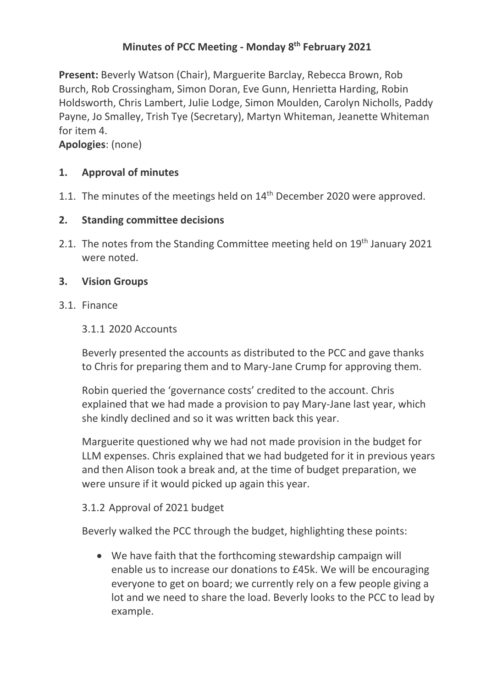## **Minutes of PCC Meeting - Monday 8 th February 2021**

**Present:** Beverly Watson (Chair), Marguerite Barclay, Rebecca Brown, Rob Burch, Rob Crossingham, Simon Doran, Eve Gunn, Henrietta Harding, Robin Holdsworth, Chris Lambert, Julie Lodge, Simon Moulden, Carolyn Nicholls, Paddy Payne, Jo Smalley, Trish Tye (Secretary), Martyn Whiteman, Jeanette Whiteman for item 4.

**Apologies**: (none)

## **1. Approval of minutes**

1.1. The minutes of the meetings held on 14<sup>th</sup> December 2020 were approved.

## **2. Standing committee decisions**

2.1. The notes from the Standing Committee meeting held on 19<sup>th</sup> January 2021 were noted.

## **3. Vision Groups**

3.1. Finance

#### 3.1.1 2020 Accounts

Beverly presented the accounts as distributed to the PCC and gave thanks to Chris for preparing them and to Mary-Jane Crump for approving them.

Robin queried the 'governance costs' credited to the account. Chris explained that we had made a provision to pay Mary-Jane last year, which she kindly declined and so it was written back this year.

Marguerite questioned why we had not made provision in the budget for LLM expenses. Chris explained that we had budgeted for it in previous years and then Alison took a break and, at the time of budget preparation, we were unsure if it would picked up again this year.

## 3.1.2 Approval of 2021 budget

Beverly walked the PCC through the budget, highlighting these points:

• We have faith that the forthcoming stewardship campaign will enable us to increase our donations to £45k. We will be encouraging everyone to get on board; we currently rely on a few people giving a lot and we need to share the load. Beverly looks to the PCC to lead by example.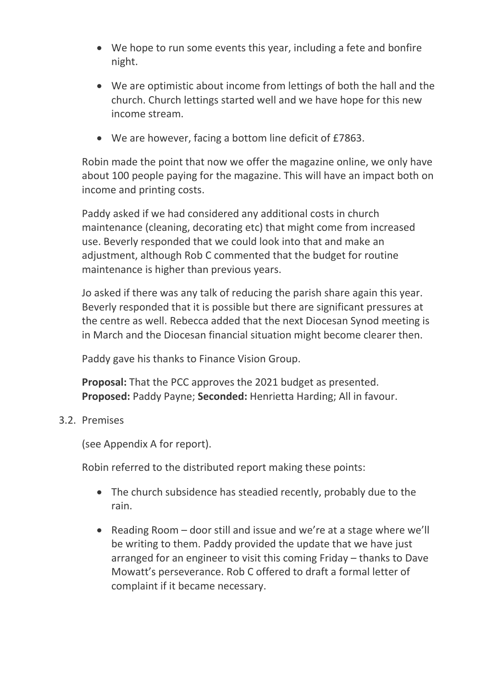- We hope to run some events this year, including a fete and bonfire night.
- We are optimistic about income from lettings of both the hall and the church. Church lettings started well and we have hope for this new income stream.
- We are however, facing a bottom line deficit of £7863.

Robin made the point that now we offer the magazine online, we only have about 100 people paying for the magazine. This will have an impact both on income and printing costs.

Paddy asked if we had considered any additional costs in church maintenance (cleaning, decorating etc) that might come from increased use. Beverly responded that we could look into that and make an adjustment, although Rob C commented that the budget for routine maintenance is higher than previous years.

Jo asked if there was any talk of reducing the parish share again this year. Beverly responded that it is possible but there are significant pressures at the centre as well. Rebecca added that the next Diocesan Synod meeting is in March and the Diocesan financial situation might become clearer then.

Paddy gave his thanks to Finance Vision Group.

**Proposal:** That the PCC approves the 2021 budget as presented. **Proposed:** Paddy Payne; **Seconded:** Henrietta Harding; All in favour.

#### 3.2. Premises

(see Appendix A for report).

Robin referred to the distributed report making these points:

- The church subsidence has steadied recently, probably due to the rain.
- Reading Room door still and issue and we're at a stage where we'll be writing to them. Paddy provided the update that we have just arranged for an engineer to visit this coming Friday – thanks to Dave Mowatt's perseverance. Rob C offered to draft a formal letter of complaint if it became necessary.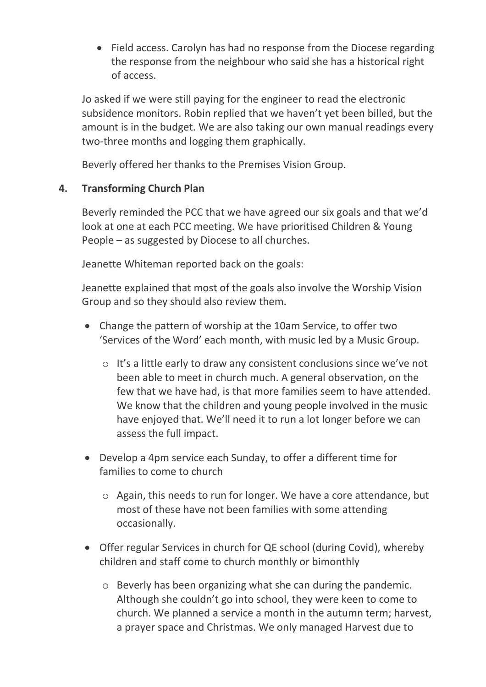• Field access. Carolyn has had no response from the Diocese regarding the response from the neighbour who said she has a historical right of access.

Jo asked if we were still paying for the engineer to read the electronic subsidence monitors. Robin replied that we haven't yet been billed, but the amount is in the budget. We are also taking our own manual readings every two-three months and logging them graphically.

Beverly offered her thanks to the Premises Vision Group.

## **4. Transforming Church Plan**

Beverly reminded the PCC that we have agreed our six goals and that we'd look at one at each PCC meeting. We have prioritised Children & Young People – as suggested by Diocese to all churches.

Jeanette Whiteman reported back on the goals:

Jeanette explained that most of the goals also involve the Worship Vision Group and so they should also review them.

- Change the pattern of worship at the 10am Service, to offer two 'Services of the Word' each month, with music led by a Music Group.
	- o It's a little early to draw any consistent conclusions since we've not been able to meet in church much. A general observation, on the few that we have had, is that more families seem to have attended. We know that the children and young people involved in the music have enjoyed that. We'll need it to run a lot longer before we can assess the full impact.
- Develop a 4pm service each Sunday, to offer a different time for families to come to church
	- o Again, this needs to run for longer. We have a core attendance, but most of these have not been families with some attending occasionally.
- Offer regular Services in church for QE school (during Covid), whereby children and staff come to church monthly or bimonthly
	- o Beverly has been organizing what she can during the pandemic. Although she couldn't go into school, they were keen to come to church. We planned a service a month in the autumn term; harvest, a prayer space and Christmas. We only managed Harvest due to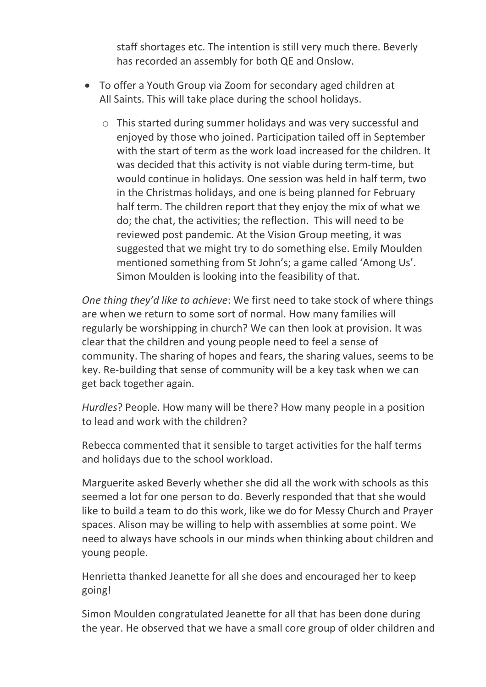staff shortages etc. The intention is still very much there. Beverly has recorded an assembly for both QE and Onslow.

- To offer a Youth Group via Zoom for secondary aged children at All Saints. This will take place during the school holidays.
	- o This started during summer holidays and was very successful and enjoyed by those who joined. Participation tailed off in September with the start of term as the work load increased for the children. It was decided that this activity is not viable during term-time, but would continue in holidays. One session was held in half term, two in the Christmas holidays, and one is being planned for February half term. The children report that they enjoy the mix of what we do; the chat, the activities; the reflection. This will need to be reviewed post pandemic. At the Vision Group meeting, it was suggested that we might try to do something else. Emily Moulden mentioned something from St John's; a game called 'Among Us'. Simon Moulden is looking into the feasibility of that.

*One thing they'd like to achieve*: We first need to take stock of where things are when we return to some sort of normal. How many families will regularly be worshipping in church? We can then look at provision. It was clear that the children and young people need to feel a sense of community. The sharing of hopes and fears, the sharing values, seems to be key. Re-building that sense of community will be a key task when we can get back together again.

*Hurdles*? People. How many will be there? How many people in a position to lead and work with the children?

Rebecca commented that it sensible to target activities for the half terms and holidays due to the school workload.

Marguerite asked Beverly whether she did all the work with schools as this seemed a lot for one person to do. Beverly responded that that she would like to build a team to do this work, like we do for Messy Church and Prayer spaces. Alison may be willing to help with assemblies at some point. We need to always have schools in our minds when thinking about children and young people.

Henrietta thanked Jeanette for all she does and encouraged her to keep going!

Simon Moulden congratulated Jeanette for all that has been done during the year. He observed that we have a small core group of older children and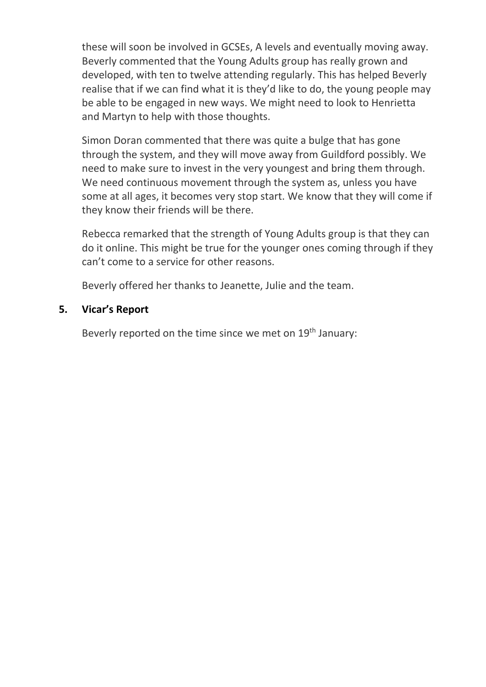these will soon be involved in GCSEs, A levels and eventually moving away. Beverly commented that the Young Adults group has really grown and developed, with ten to twelve attending regularly. This has helped Beverly realise that if we can find what it is they'd like to do, the young people may be able to be engaged in new ways. We might need to look to Henrietta and Martyn to help with those thoughts.

Simon Doran commented that there was quite a bulge that has gone through the system, and they will move away from Guildford possibly. We need to make sure to invest in the very youngest and bring them through. We need continuous movement through the system as, unless you have some at all ages, it becomes very stop start. We know that they will come if they know their friends will be there.

Rebecca remarked that the strength of Young Adults group is that they can do it online. This might be true for the younger ones coming through if they can't come to a service for other reasons.

Beverly offered her thanks to Jeanette, Julie and the team.

## **5. Vicar's Report**

Beverly reported on the time since we met on 19<sup>th</sup> January: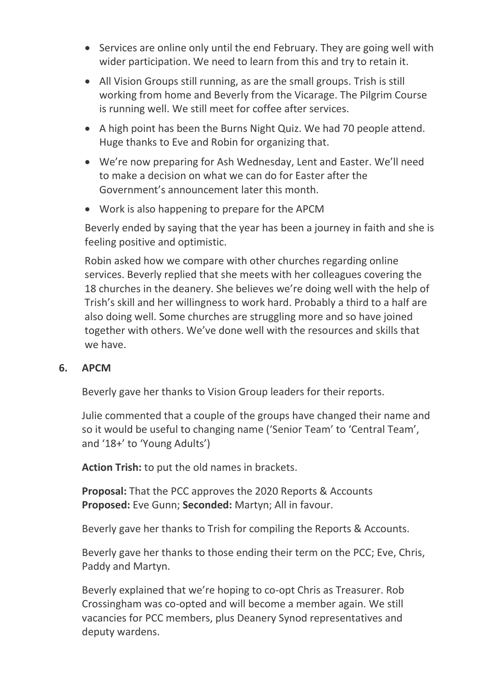- Services are online only until the end February. They are going well with wider participation. We need to learn from this and try to retain it.
- All Vision Groups still running, as are the small groups. Trish is still working from home and Beverly from the Vicarage. The Pilgrim Course is running well. We still meet for coffee after services.
- A high point has been the Burns Night Quiz. We had 70 people attend. Huge thanks to Eve and Robin for organizing that.
- We're now preparing for Ash Wednesday, Lent and Easter. We'll need to make a decision on what we can do for Easter after the Government's announcement later this month.
- Work is also happening to prepare for the APCM

Beverly ended by saying that the year has been a journey in faith and she is feeling positive and optimistic.

Robin asked how we compare with other churches regarding online services. Beverly replied that she meets with her colleagues covering the 18 churches in the deanery. She believes we're doing well with the help of Trish's skill and her willingness to work hard. Probably a third to a half are also doing well. Some churches are struggling more and so have joined together with others. We've done well with the resources and skills that we have.

## **6. APCM**

Beverly gave her thanks to Vision Group leaders for their reports.

Julie commented that a couple of the groups have changed their name and so it would be useful to changing name ('Senior Team' to 'Central Team', and '18+' to 'Young Adults')

**Action Trish:** to put the old names in brackets.

**Proposal:** That the PCC approves the 2020 Reports & Accounts **Proposed:** Eve Gunn; **Seconded:** Martyn; All in favour.

Beverly gave her thanks to Trish for compiling the Reports & Accounts.

Beverly gave her thanks to those ending their term on the PCC; Eve, Chris, Paddy and Martyn.

Beverly explained that we're hoping to co-opt Chris as Treasurer. Rob Crossingham was co-opted and will become a member again. We still vacancies for PCC members, plus Deanery Synod representatives and deputy wardens.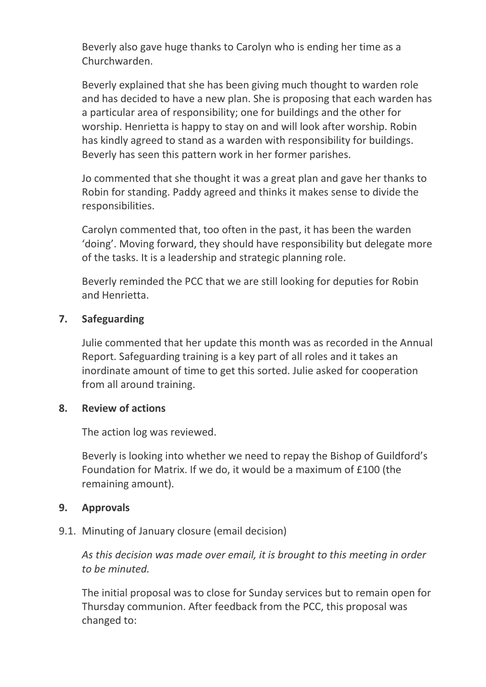Beverly also gave huge thanks to Carolyn who is ending her time as a Churchwarden.

Beverly explained that she has been giving much thought to warden role and has decided to have a new plan. She is proposing that each warden has a particular area of responsibility; one for buildings and the other for worship. Henrietta is happy to stay on and will look after worship. Robin has kindly agreed to stand as a warden with responsibility for buildings. Beverly has seen this pattern work in her former parishes.

Jo commented that she thought it was a great plan and gave her thanks to Robin for standing. Paddy agreed and thinks it makes sense to divide the responsibilities.

Carolyn commented that, too often in the past, it has been the warden 'doing'. Moving forward, they should have responsibility but delegate more of the tasks. It is a leadership and strategic planning role.

Beverly reminded the PCC that we are still looking for deputies for Robin and Henrietta.

#### **7. Safeguarding**

Julie commented that her update this month was as recorded in the Annual Report. Safeguarding training is a key part of all roles and it takes an inordinate amount of time to get this sorted. Julie asked for cooperation from all around training.

#### **8. Review of actions**

The action log was reviewed.

Beverly is looking into whether we need to repay the Bishop of Guildford's Foundation for Matrix. If we do, it would be a maximum of £100 (the remaining amount).

#### **9. Approvals**

9.1. Minuting of January closure (email decision)

*As this decision was made over email, it is brought to this meeting in order to be minuted.*

The initial proposal was to close for Sunday services but to remain open for Thursday communion. After feedback from the PCC, this proposal was changed to: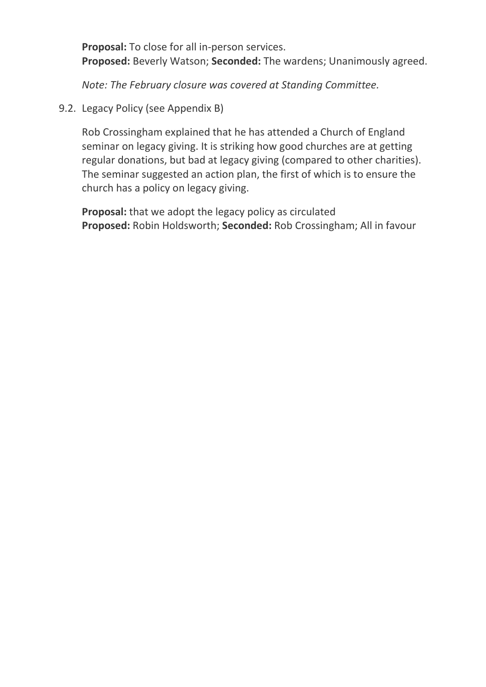**Proposal:** To close for all in-person services. **Proposed:** Beverly Watson; **Seconded:** The wardens; Unanimously agreed.

*Note: The February closure was covered at Standing Committee.*

9.2. Legacy Policy (see Appendix B)

Rob Crossingham explained that he has attended a Church of England seminar on legacy giving. It is striking how good churches are at getting regular donations, but bad at legacy giving (compared to other charities). The seminar suggested an action plan, the first of which is to ensure the church has a policy on legacy giving.

**Proposal:** that we adopt the legacy policy as circulated **Proposed:** Robin Holdsworth; **Seconded:** Rob Crossingham; All in favour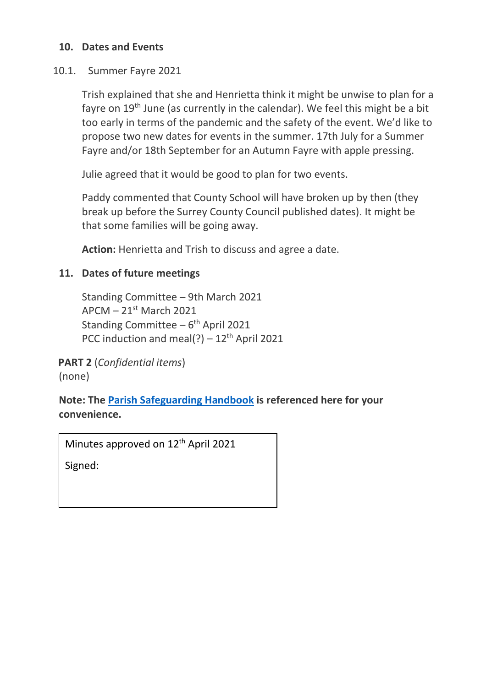#### **10. Dates and Events**

#### 10.1. Summer Fayre 2021

Trish explained that she and Henrietta think it might be unwise to plan for a fayre on 19<sup>th</sup> June (as currently in the calendar). We feel this might be a bit too early in terms of the pandemic and the safety of the event. We'd like to propose two new dates for events in the summer. 17th July for a Summer Fayre and/or 18th September for an Autumn Fayre with apple pressing.

Julie agreed that it would be good to plan for two events.

Paddy commented that County School will have broken up by then (they break up before the Surrey County Council published dates). It might be that some families will be going away.

**Action:** Henrietta and Trish to discuss and agree a date.

#### **11. Dates of future meetings**

Standing Committee – 9th March 2021  $APCM - 21<sup>st</sup> March 2021$ Standing Committee – 6<sup>th</sup> April 2021 PCC induction and meal(?)  $-12^{th}$  April 2021

**PART 2** (*Confidential items*) (none)

**Note: The [Parish Safeguarding Handbook](https://www.churchofengland.org/sites/default/files/2019-03/Parish%20Safeguarding%20Handbook%20March%202019.pdf) is referenced here for your convenience.**

Minutes approved on 12<sup>th</sup> April 2021

Signed: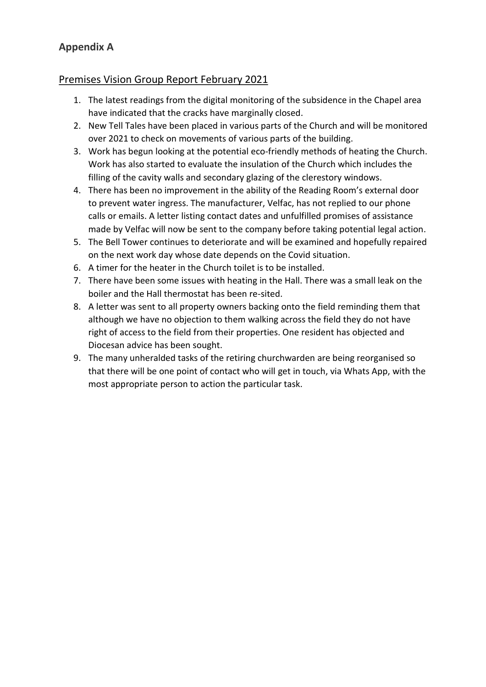## **Appendix A**

#### Premises Vision Group Report February 2021

- 1. The latest readings from the digital monitoring of the subsidence in the Chapel area have indicated that the cracks have marginally closed.
- 2. New Tell Tales have been placed in various parts of the Church and will be monitored over 2021 to check on movements of various parts of the building.
- 3. Work has begun looking at the potential eco-friendly methods of heating the Church. Work has also started to evaluate the insulation of the Church which includes the filling of the cavity walls and secondary glazing of the clerestory windows.
- 4. There has been no improvement in the ability of the Reading Room's external door to prevent water ingress. The manufacturer, Velfac, has not replied to our phone calls or emails. A letter listing contact dates and unfulfilled promises of assistance made by Velfac will now be sent to the company before taking potential legal action.
- 5. The Bell Tower continues to deteriorate and will be examined and hopefully repaired on the next work day whose date depends on the Covid situation.
- 6. A timer for the heater in the Church toilet is to be installed.
- 7. There have been some issues with heating in the Hall. There was a small leak on the boiler and the Hall thermostat has been re-sited.
- 8. A letter was sent to all property owners backing onto the field reminding them that although we have no objection to them walking across the field they do not have right of access to the field from their properties. One resident has objected and Diocesan advice has been sought.
- 9. The many unheralded tasks of the retiring churchwarden are being reorganised so that there will be one point of contact who will get in touch, via Whats App, with the most appropriate person to action the particular task.